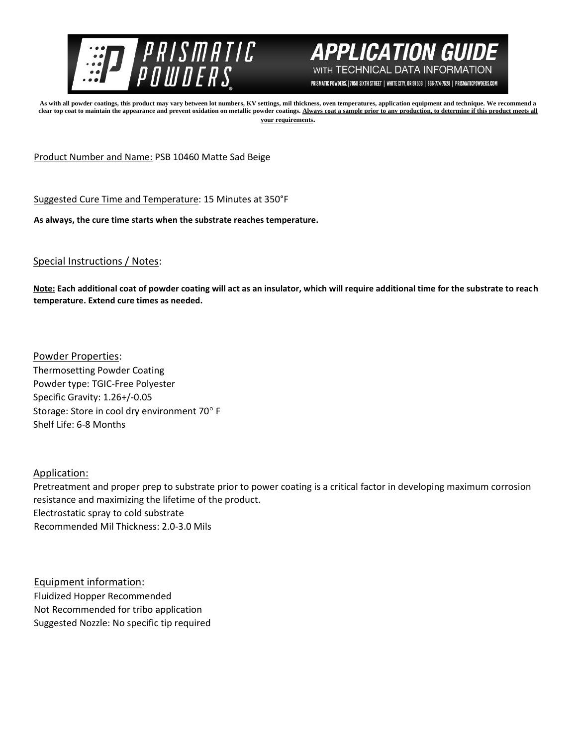



PRISMATIC POWDERS. | 7050 SIXTH STREET | WHITE CITY, OR 97503 | 866-774-7628 | PRISMATICPOWDERS.COM

**As with all powder coatings, this product may vary between lot numbers, KV settings, mil thickness, oven temperatures, application equipment and technique. We recommend a**  clear top coat to maintain the appearance and prevent oxidation on metallic powder coatings. Always coat a sample prior to any production, to determine if this product meets all **your requirements.** 

Product Number and Name: PSB 10460 Matte Sad Beige

Suggested Cure Time and Temperature: 15 Minutes at 350°F

**As always, the cure time starts when the substrate reaches temperature.**

## Special Instructions / Notes:

**Note: Each additional coat of powder coating will act as an insulator, which will require additional time for the substrate to reach temperature. Extend cure times as needed.** 

Powder Properties: Thermosetting Powder Coating Powder type: TGIC-Free Polyester Specific Gravity: 1.26+/-0.05 Storage: Store in cool dry environment 70° F Shelf Life: 6-8 Months

## Application:

Pretreatment and proper prep to substrate prior to power coating is a critical factor in developing maximum corrosion resistance and maximizing the lifetime of the product. Electrostatic spray to cold substrate Recommended Mil Thickness: 2.0-3.0 Mils

Equipment information: Fluidized Hopper Recommended Not Recommended for tribo application Suggested Nozzle: No specific tip required